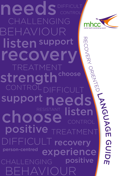刀  $\Box$ COVERY ORIENTED CHALLENGING POSItive TREATMENT BEHAVIOUR experience DIFFICULT recovery choose eeds listen support positive choose CONTROL DIFFIC TM recover **CONTROL** listen support BEHAVIOUR strength ALL FNGING needs person-centred

LANG UAG **T** G **C** D **In the Common ITI** 

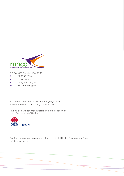

PO Box 668 Rozelle NSW 2039

- T 02 9555 8388
- F 02 9810 8145
- E info@mhcc.org.au
- W www.mhcc.org.au

First edition - Recovery Oriented Language Guide © Mental Health Coordinating Council 2013

This guide has been made possible with the support of the NSW Ministry of Health.



For further information please contact the Mental Health Coordinating Council info@mhcc.org.au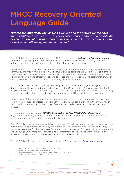## MHCC Recovery Oriented Language Guide

*"Words are important. The language we use and the stories we tell have great significance to all involved. They carry a sense of hope and possibility or can be associated with a sense of pessimism and low expectations, both of which can influence personal outcomes".1*

The Mental Health Coordinating Council (MHCC) has developed this *Recovery Oriented Language Guide* because language matters in mental health. We must use words that convey hope and optimism and that support, and promote a culture that supports, recovery.2

People with psychosocial disabilities are amongst some of the most marginalised in the Australian community and many live with poverty, discrimination and social isolation as a normal part of their lives.<sup>3</sup> The words that we use when speaking with people are a critical tool to ensure that all we are able to engage with and effectively respond to issues of prejudice, stigma and discrimination, which can erode human rights and result in disadvantage and social exclusion.

The terms psychosocial and psychiatric disability are often used interchangeably. Psychosocial disability is now the preferred term and it is used by the United Nations Convention on the Rights of People with Disabilities as it acknowledges the often devastating impacts on – for example – housing, employment and relationships that people affected by mental illness/distress can experience.<sup>4</sup>

Development of the Language Guide has been informed by a number of sources including: current literature on recovery orientated practice; conversations with people working in the mental health sector; and, most importantly, the voices of people with lived experience of mental illness and recovery.

The Language Guide underpins *MHCC's Organisation Builder (MOB) Policy Resource* and organisations providing recovery oriented and trauma-informed services to people affected by mental/emotional distress are encouraged to also adopt it.

The MOB Policy Resource makes available more than 200 policies, procedures and other supporting documents to help improve the quality and effectiveness of recovery oriented service delivery, including a template for this Language Guide that might be adopted for use within your organisation. The Language Guide template is available as a complement to the "Valued Status Policy" in the "Prevention and Promotion" category of the MOB Policy Resource.

The MOB Policy Resource can be accessed at the MHCC website: http://mob.mhcc.org.au

<sup>1</sup> Devon Partnership Trust and Torbay Care Trust (2008, p. 2).<br>2 Department of Health and Ageing (2012)

<sup>2</sup> Department of Health and Ageing (2012).

<sup>3</sup> National Mental Health Consumer & Carer Forum (NMHCCF, 2011).

<sup>4</sup> United Nations General Assembly (2006).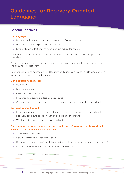## Guidelines for Recovery Oriented Languages

#### General Principles

#### Our language:

- Represents the meanings we have constructed from experience
- **Prompts attitudes, expectations and actions**
- Should always reflect unconditional positive regard for people.

We may be unaware of the impact our words have on our attitudes as well as upon those around us.

The words we choose reflect our attitudes; that we do (or do not) truly value people, believe in and genuinely respect them.

None of us should be defined by our difficulties or diagnoses, or by any single aspect of who we are; we are people first and foremost.

#### Our language needs to be:

- **Respectful**
- Non-judgemental
- Clear and understandable
- Free of jargon, confusing data, and speculation
- Carrying a sense of commitment, hope and presenting the potential for opportunity.

#### We need to give thought to:

- How our language is read/heard by the person to whom we are referring, and could positively contribute to their health and wellbeing (or otherwise)
- What meanings we present to people to live by.

#### Our language conveys thoughts, feelings, facts and information, but beyond that, we need to ask ourselves questions like:

What else am I saying?

- How will someone else read/hear this?
- Do I give a sense of commitment, hope and present opportunity or a sense of pessimism?
- Do I convey an awareness and expectation of recovery?
- 

<sup>5</sup> Adapted from Roberts and Thekkepalakkal (2009).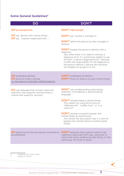#### Some General Guidelines<sup>6</sup>

| DC                                                                                                                      | <b>DON'T</b>                                                                                                                                                                                                                                                                                                                                           |
|-------------------------------------------------------------------------------------------------------------------------|--------------------------------------------------------------------------------------------------------------------------------------------------------------------------------------------------------------------------------------------------------------------------------------------------------------------------------------------------------|
| DO put people first:                                                                                                    | <b>DON'T</b> label people:                                                                                                                                                                                                                                                                                                                             |
| DO say "person with mental illness".                                                                                    | DON'T say "he/she is mentally ill".                                                                                                                                                                                                                                                                                                                    |
| DO say "a person diagnosed with ".                                                                                      | <b>DON'T</b> define the person by their struggle or<br>distress.                                                                                                                                                                                                                                                                                       |
|                                                                                                                         | <b>DON'T</b> equate the person's identity with a<br>diagnosis.<br>Very often there is no need to mention a<br>diagnosis at all. It is sometimes helpful to use<br>the term "a person diagnosed with", because<br>it shifts the responsibility for the diagnosis to<br>the person making it, leaving the individual<br>the freedom to accept it or not. |
| <b>DO</b> emphasise abilities.<br><b>DO</b> focus on what is strong.<br>i.e., the person's strengths, skills & passions | <b>DON'T</b> emphasise limitations.<br><b>DON'T</b> focus on what is (in your mind) wrong.                                                                                                                                                                                                                                                             |
| DO use language that conveys hope and<br>optimism that supports, and promotes a<br>culture that supports, recovery.     | <b>DON'T</b> use condescending, patronising,<br>tokenistic, intimidating or discriminating<br>language. <sup>7</sup>                                                                                                                                                                                                                                   |
|                                                                                                                         | <b>DON'T</b> sensationalise a mental illness.<br>This means not using terms such as<br>"afflicted with", "suffers from", or "is a<br>victim of".                                                                                                                                                                                                       |
|                                                                                                                         | <b>DON'T</b> portray successful people with<br>mental illness as superhuman.<br>This carries the assumption that it is rare for<br>people with mental illness to achieve great<br>things.                                                                                                                                                              |
| <b>DO</b> enquire as to how the person would like to<br>be addressed.                                                   | <b>DON'T</b> presume that a person wants to be<br>called by a particular term (e.g., consumer or<br>client) and check whether by their family or first<br>name (e.g., Ms Smith or Kylie).                                                                                                                                                              |
|                                                                                                                         |                                                                                                                                                                                                                                                                                                                                                        |

6 Adapted from Wahl (2010).

7 Burge, M. (2010).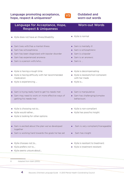#### Language promoting acceptance, hope, respect & uniqueness<sup>8</sup>



#### Outdated and worn-out words

| Language for Acceptance, Hope,<br><b>Respect &amp; Uniqueness</b>                                                                                                                  | <b>Worn-out Words</b>                                                                                                |
|------------------------------------------------------------------------------------------------------------------------------------------------------------------------------------|----------------------------------------------------------------------------------------------------------------------|
| Kylie does not have an illness/disability                                                                                                                                          | Kylie is normal                                                                                                      |
| Sam lives with/has a mental illness<br>Sam has schizophrenia<br>٠<br>Sam has been diagnosed with bipolar disorder<br>٠<br>Sam has experienced anorexia<br>Sam is a person with/who | Sam is mentally ill<br>٠<br>Sam is schizophrenic<br>Sam is a bipolar<br>٠<br>Sam is an anorexic<br>Sam is            |
| Kylie is having a rough time<br>×.<br>Kylie is having difficulty with her recommended<br>$\mathcal{L}_{\mathcal{A}}$<br>medication<br>Kylie is experiencing                        | Kylie is decompensating<br>$\overline{\phantom{a}}$<br>Kylie is resistant/non-compliant<br>with her meds<br>Kylie is |
| Sam is trying really hard to get his needs met<br>Sam may need to work on more effective ways of<br>٠<br>getting his needs met                                                     | Sam is manipulative<br>٠<br>Sam has challenging/complex<br>$\blacksquare$<br>behaviours                              |
| Kylie is choosing not to<br>Kylie would rather<br>Kylie is looking for other options                                                                                               | Kylie is non-compliant<br>Kylie has poor/no insight                                                                  |
| Sam is excited about the plan we've developed<br>together<br>Sam is working hard towards the goals he has set                                                                      | Sam is very compliant/manageable<br>Sam has insight                                                                  |
| Kylie chooses not to<br>Kylie prefers not to<br>Kylie seems unsure about                                                                                                           | Kylie is resistant to treatment<br>Kylie is treatment resistant                                                      |

8 Adapted from Wahl (2010).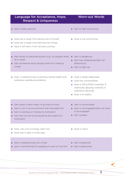|        | Language for Acceptance, Hope,<br><b>Respect &amp; Uniqueness</b>                                                                                                                                        |         | <b>Worn-out Words</b>                                                                                                                                                    |
|--------|----------------------------------------------------------------------------------------------------------------------------------------------------------------------------------------------------------|---------|--------------------------------------------------------------------------------------------------------------------------------------------------------------------------|
|        | Sam is really good at                                                                                                                                                                                    |         | Sam is high functioning                                                                                                                                                  |
| $\sim$ | Kylie has a tough time taking care of herself<br>Kylie has a tough time learning new things<br>Kylie is still early in her recovery journey                                                              |         | Kylie is low functioning                                                                                                                                                 |
| ٠      | Sam tends to (describe actions, e.g., hit people) when<br>he is upset<br>Sam sometimes kicks people when he is hearing<br>voices                                                                         | п.<br>٠ | Sam is dangerous<br>Sam has challenging/high risk<br>behaviour/s<br>Sam is high risk                                                                                     |
|        | Kylie is experiencing co-existing mental health and<br>substance use/abuse problems                                                                                                                      |         | Kylie is dually diagnosed<br>Kylie has comorbidities<br>Kylie is MICA/MISA (mentally ill<br>chemically abusing, mentally ill<br>substance abusing)<br>Kylie is an addict |
| ٠      | Sam doesn't seem ready to go back to work<br>Sam is not in an environment that motivates him<br>Sam is working on finding his motivation<br>Sam has not yet found anything that sparks his<br>motivation |         | Sam is unmotivated<br>Sam is not engaged/does not want<br>to be engaged<br>Sam isolates                                                                                  |
|        | Kylie has a lot of energy right now<br>Kylie hasn't slept in three days                                                                                                                                  |         | Kylie is manic                                                                                                                                                           |
|        | Sam is experiencing a lot of fear<br>Sam is worried that his neighbours want to hurt him                                                                                                                 |         | Sam is paranoid<br>Sam is delusional                                                                                                                                     |

5

 $\left\langle \right\rangle$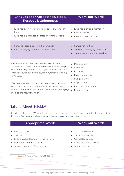| Language for Acceptance, Hope,<br><b>Respect &amp; Uniqueness</b>                                                                                                                                                                           | <b>Worn-out Words</b>                                                                                          |
|---------------------------------------------------------------------------------------------------------------------------------------------------------------------------------------------------------------------------------------------|----------------------------------------------------------------------------------------------------------------|
| Kylie has been working towards recovery for a long<br>$\overline{\phantom{a}}$<br>time<br>Kylie has experienced depression for many years<br>o,                                                                                             | Kylie has a chronic mental illness<br>Kylie is chronic<br>Kylie will never recover                             |
| Sam and I aren't quite on the same page<br>It is challenging for me to work with Sam<br>■                                                                                                                                                   | Sam is very difficult<br>Sam has challenging behaviour<br>Sam won't engage with services                       |
| If worn-out words are used to describe people's<br>attempts to reclaim some shred of power while being<br>serviced by a system that may try to control them then<br>important opportunities to support a person's recovery<br>will be lost. | Manipulative<br>Grandiose<br>In denial<br><b>COL</b><br>Passive aggressive<br>Self-defeating<br>- Oppositional |

*The person is trying to get their needs met - or has a perception or opinion different from, or not shared by, others - and their actions are not yet effectively bringing*  Mentally impaired *them to the result they want.*

- **Depositional**
- **Personality disordered**
- 

#### Talking About Suicide<sup>9</sup>

Suicide is not a crime. We now live in a time when we seek to understand people who have suicidal thoughts, feelings and behaviours, and the language we use assists in this.

#### Appropriate Words Worn-out Words

- Died by suicide
- **Suicided**
- **Ended his/her life, took his/her own life**
- Non-fatal attempt at suicide
- Attempt to end his/her own life

- Committed suicide
- Successful suicide
- Completed suicide
- Failed attempt at suicide
- **Unsuccessful suicide**

9 Beaton, S. Forster P. and Maple M. (2013).

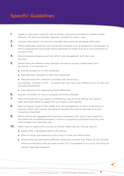## Specific Guidelines

- 1. Speak or write about a person with an illness, psychosocial disability, problem and/or difficulty; not about a disorder, diagnosis, symptom/s and/or case.
- 2. Include a description of a person's strengths and resources alongside difficulties.
- 3. Where applicable, explicitly own words and concepts such as diagnosis or assessment as *from a medical/service provider opinion/perspective* rather than as a pronouncement of universal truth.
- 4. Record people's progress and their efforts and engagement with their own recovery.
- 5. Where there are different views between the person writing a letter/report and the person, it is important to:
	- **n** include recognition of that awareness
	- **describe their viewpoint in their own words and**
	- describe how their viewpoint contrasts with the author's.

For example, *"whereas I think ... I'm aware that Sam has a very different point of view and considers/stated that ..."* 

- Note directions for negotiating these differences
- **6.** Express "shortfalls" as work or progress still to be achieved.
- **7.** Record the person's own hopes or ambitions as well as those held by the support team and what needs to happen for such hopes to be realised.
- 8. Seek to express issues of risk (safety and risk management) in terms of planning for recovery, safety and success; including for people who may be required to receive involuntary treatment.
- **9.** When actions are suggested that the person disagrees with, give a clear reason for why these are considered necessary in terms of supporting someone's recovery and acknowledge their alternate view.
- **10.** When there is opportunity, such as for Mental Health Review Tribunal reports:
	- always offer a developed draft to the person
	- offer to review and respond to their views on what you have written
	- where there are significantly different viewpoints consider how these can be included either by amending what you have written if it is acceptable to you or by including the person's alternate viewpoint.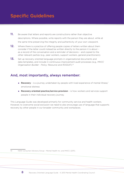## Specific Guidelines

- **11.** Be aware that letters and reports are constructions rather than objective descriptions. Where possible, write reports with the person they are about, while at the same time preserving the integrity and authenticity of your own viewpoint.
- **12.** Where there is a practice of offering people copies of letters written about them consider if the letter could instead be written directly to the person it is about – as a record of the conversation and a reminder of decisions – and copied to the other relevant parties (e.g., peer workers, support workers, general practitioners).
- 13. Set up recovery oriented language prompts in organisational documents and data templates, and include in continuous improvement audit processes (e.g., *MHCC Organisation Builder - Policy Resource* and *ROSSAT*).10

### And, most importantly, always remember:

- **Recovery** is a journey undertaken by people with lived experience of mental illness/ emotional distress
- Recovery oriented practice/service provision is how workers and services support people in their individual recovery journey.

This Language Guide was developed primarily for community service and health workers. However, to overcome social exclusion we need to also encourage use of language that supports recovery by other people in our broader community and workplaces.

8

10 NSW Consumer Advisory Group - Mental Health Inc. and MHCC (2011).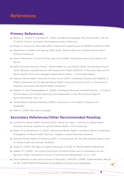## References

#### Primary References:

- Beaton, S. Forster P. and Maple M. (2013). S*uicide and Language: Why We Shouldn't Use the 'C' Word*. In Psych: Australian Psychological Society (February).
- Burge, M. /Consumer Advocate (2010). Exerpt from speech given at *TheMHs Conference 2010.*
- Department of Health and Ageing (2012, draft). *National Recovery Oriented Mental Health Practice Framework.*
- Devon Partnership Trust and Torbay Care Trust (2008). *Putting Recovery at the Heart of All We Do.*
- NSW Consumer Advisory Group Mental Health Inc. and Mental Health Coordinating Council (2011). *Recovery Oriented Service Self-Assessment Toolkit (ROSSAT): A Recovery Resource for Mental Health Community Managed Organisations Project – Final Project Report.*
- National Mental Health Consumer & Carer Forum (2011). *Unravelling Psychosocial Disability: A Position Statement by the National Mental Health Consumer & Carer Forum on Psychosocial Disability Associated with Mental Health Conditions.*
- Roberts, G. and Thekkepalakkal, A. (2009). *Developing Recovery Oriented Practice A Guide to Writing Reports and Letters: Recovery and Independent Living PEG Advisory Paper 9.*  Devon Partnership Trust, UK.
- United Nations General Assembly (2006). *Convention on the Rights of Persons with Disabilities.*
- Wahl, O. (2010). *Recovery Language.*

#### Secondary References/Other Recommended Reading:

- Community Mental Health Australia (2012). *Taking Our Place Community Mental Health Australia: Working Together to Improve Mental Health in the Community.*
- **Brown, W. & Kandirikirira, N. (2007).** *Recovering Mental Health in Scotland. Report on Narrative Investigation of Mental Health Recovery.* Glasgow, Scottish Recovery Network.
- National Mental Health Commission (2012). *A Contributing Life: the 2012 National Report Card on Mental Health and Suicide Prevention.*
- Slade, M. (2009). *100 Ways to Support Recovery: A Guide for Mental Health Professionals.*
- Walker, M.T. (2006). The Social Construction of Mental Illness and its Implications for the Recovery Model. *International Journal of Psychosocial Rehabilitation. 10 (1), 71-87.*
- World Network of Users and Survivors of Psychiatry (WNUSP), (2008). *Implementation Manual for the United Nations Convention on the Rights of Persons with Disabilities.*